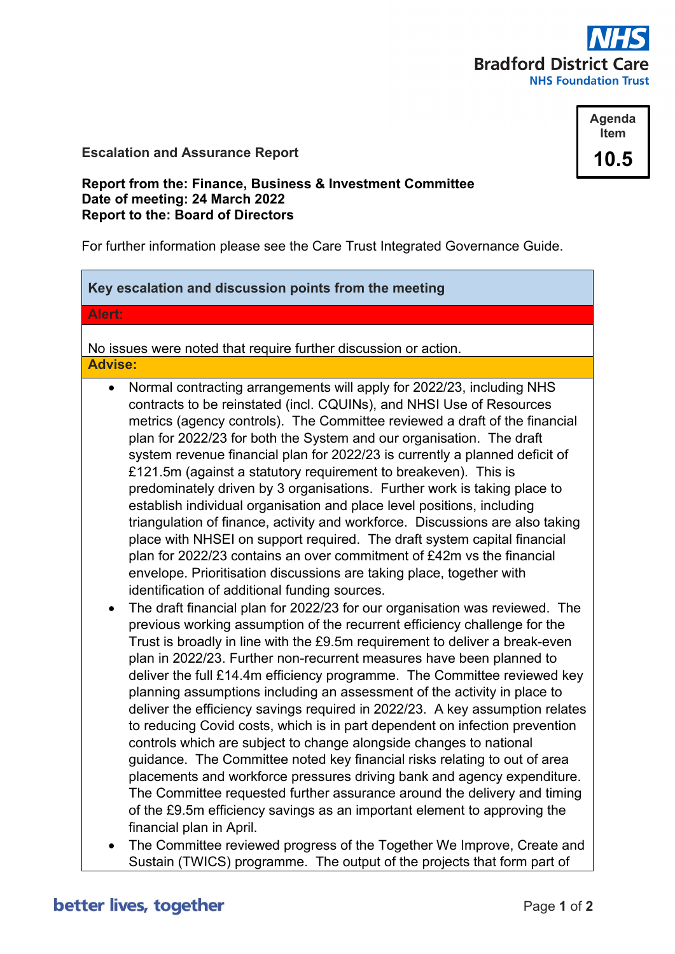

# **Escalation and Assurance Report**



## **Report from the: Finance, Business & Investment Committee Date of meeting: 24 March 2022 Report to the: Board of Directors**

For further information please see the Care Trust Integrated Governance Guide.

# **Key escalation and discussion points from the meeting**

**Alert:**

No issues were noted that require further discussion or action. **Advise:**

- Normal contracting arrangements will apply for 2022/23, including NHS contracts to be reinstated (incl. CQUINs), and NHSI Use of Resources metrics (agency controls). The Committee reviewed a draft of the financial plan for 2022/23 for both the System and our organisation. The draft system revenue financial plan for 2022/23 is currently a planned deficit of £121.5m (against a statutory requirement to breakeven). This is predominately driven by 3 organisations. Further work is taking place to establish individual organisation and place level positions, including triangulation of finance, activity and workforce. Discussions are also taking place with NHSEI on support required. The draft system capital financial plan for 2022/23 contains an over commitment of £42m vs the financial envelope. Prioritisation discussions are taking place, together with identification of additional funding sources.
- The draft financial plan for 2022/23 for our organisation was reviewed. The previous working assumption of the recurrent efficiency challenge for the Trust is broadly in line with the £9.5m requirement to deliver a break-even plan in 2022/23. Further non-recurrent measures have been planned to deliver the full £14.4m efficiency programme. The Committee reviewed key planning assumptions including an assessment of the activity in place to deliver the efficiency savings required in 2022/23. A key assumption relates to reducing Covid costs, which is in part dependent on infection prevention controls which are subject to change alongside changes to national guidance. The Committee noted key financial risks relating to out of area placements and workforce pressures driving bank and agency expenditure. The Committee requested further assurance around the delivery and timing of the £9.5m efficiency savings as an important element to approving the financial plan in April.
- The Committee reviewed progress of the Together We Improve, Create and Sustain (TWICS) programme. The output of the projects that form part of